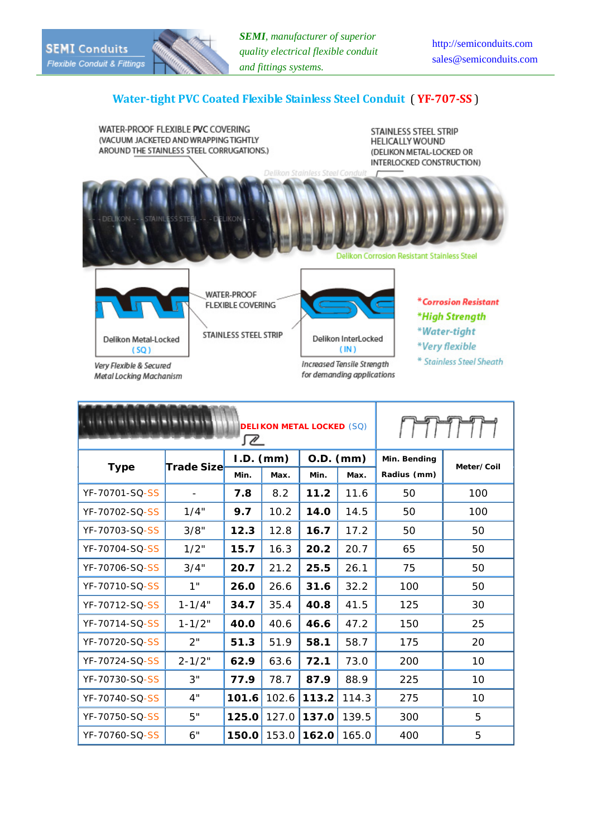## **Watertight PVC Coated Flexible Stainless Steel Conduit** ( **YF707SS** )

WATER-PROOF FLEXIBLE PVC COVERING (VACUUM JACKETED AND WRAPPING TIGHTLY AROUND THE STAINLESS STEEL CORRUGATIONS.)

STAINLESS STEEL STRIP **HELICALLY WOUND** (DELIKON METAL-LOCKED OR INTERLOCKED CONSTRUCTION)



for demanding applications

Very Flexible & Secured **Metal Locking Machanism** 

**DELIKON METAL LOCKED** (SQ) ⅏ **Type Trade Size I.D. (mm) O.D. (mm) Min. Bending Meter/Coil Min. Max. Min. Max. Radius (mm)** YF-70701-SQ-SS - **7.8** 8.2 **11.2** 11.6 50 100 YF-70702-SQ-SS 1/4" **9.7** 10.2 **14.0** 14.5 50 100 YF-70703-SQ-SS 3/8" **12.3** 12.8 **16.7** 17.2 50 50 YF-70704-SQ-SS 1/2" **15.7** 16.3 **20.2** 20.7 65 60 YF-70706-SQ-SS 3/4" **20.7** 21.2 **25.5** 26.1 75 60 YF-70710-SQ-SS 1" **26.0** 26.6 **31.6** 32.2 100 50 YF-70712-SQ-SS 1-1/4" **34.7** 35.4 **40.8** 41.5 125 30 YF-70714-SQ-SS 1-1/2" **40.0** 40.6 **46.6** 47.2 150 25 YF-70720-SQ-SS 2" **51.3** 51.9 **58.1** 58.7 175 20 YF-70724-SQ-SS 2-1/2" **62.9** 63.6 **72.1** 73.0 200 10 YF-70730-SQ-SS 3" **77.9** 78.7 **87.9** 88.9 225 10 YF-70740-SQ-SS 4" **101.6** 102.6 **113.2** 114.3 275 10 YF-70750-SQ-SS 6 5" **125.0** 127.0 **137.0** 139.5 300 5 YF-70760-SQ-SS 6" **150.0** 153.0 **162.0** 165.0 400 5